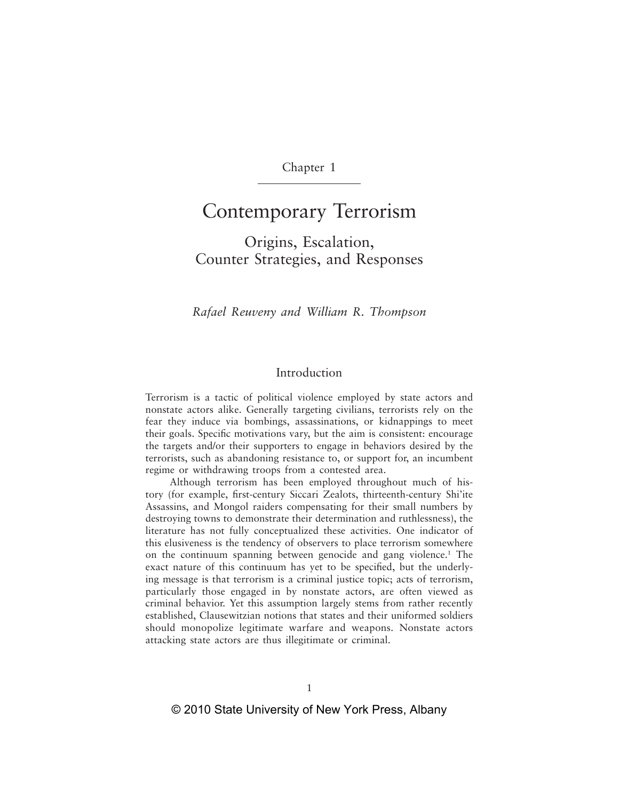Chapter 1

# Contemporary Terrorism

Origins, Escalation, Counter Strategies, and Responses

### *Rafael Reuveny and William R. Thompson*

# Introduction

Terrorism is a tactic of political violence employed by state actors and nonstate actors alike. Generally targeting civilians, terrorists rely on the fear they induce via bombings, assassinations, or kidnappings to meet their goals. Specific motivations vary, but the aim is consistent: encourage the targets and/or their supporters to engage in behaviors desired by the terrorists, such as abandoning resistance to, or support for, an incumbent regime or withdrawing troops from a contested area.

Although terrorism has been employed throughout much of history (for example, first-century Siccari Zealots, thirteenth-century Shi'ite Assassins, and Mongol raiders compensating for their small numbers by destroying towns to demonstrate their determination and ruthlessness), the literature has not fully conceptualized these activities. One indicator of this elusiveness is the tendency of observers to place terrorism somewhere on the continuum spanning between genocide and gang violence.1 The exact nature of this continuum has yet to be specified, but the underlying message is that terrorism is a criminal justice topic; acts of terrorism, particularly those engaged in by nonstate actors, are often viewed as criminal behavior. Yet this assumption largely stems from rather recently established, Clausewitzian notions that states and their uniformed soldiers should monopolize legitimate warfare and weapons. Nonstate actors attacking state actors are thus illegitimate or criminal.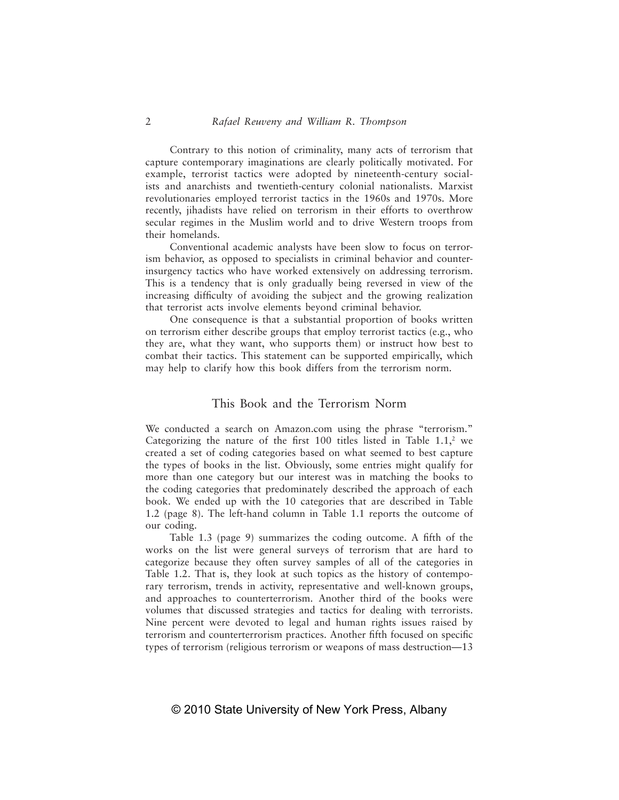Contrary to this notion of criminality, many acts of terrorism that capture contemporary imaginations are clearly politically motivated. For example, terrorist tactics were adopted by nineteenth-century socialists and anarchists and twentieth-century colonial nationalists. Marxist revolutionaries employed terrorist tactics in the 1960s and 1970s. More recently, jihadists have relied on terrorism in their efforts to overthrow secular regimes in the Muslim world and to drive Western troops from their homelands.

Conventional academic analysts have been slow to focus on terrorism behavior, as opposed to specialists in criminal behavior and counterinsurgency tactics who have worked extensively on addressing terrorism. This is a tendency that is only gradually being reversed in view of the increasing difficulty of avoiding the subject and the growing realization that terrorist acts involve elements beyond criminal behavior.

One consequence is that a substantial proportion of books written on terrorism either describe groups that employ terrorist tactics (e.g., who they are, what they want, who supports them) or instruct how best to combat their tactics. This statement can be supported empirically, which may help to clarify how this book differs from the terrorism norm.

## This Book and the Terrorism Norm

We conducted a search on Amazon.com using the phrase "terrorism." Categorizing the nature of the first 100 titles listed in Table  $1.1$ <sup>2</sup>, we created a set of coding categories based on what seemed to best capture the types of books in the list. Obviously, some entries might qualify for more than one category but our interest was in matching the books to the coding categories that predominately described the approach of each book. We ended up with the 10 categories that are described in Table 1.2 (page 8). The left-hand column in Table 1.1 reports the outcome of our coding.

Table 1.3 (page 9) summarizes the coding outcome. A fifth of the works on the list were general surveys of terrorism that are hard to categorize because they often survey samples of all of the categories in Table 1.2. That is, they look at such topics as the history of contemporary terrorism, trends in activity, representative and well-known groups, and approaches to counterterrorism. Another third of the books were volumes that discussed strategies and tactics for dealing with terrorists. Nine percent were devoted to legal and human rights issues raised by terrorism and counterterrorism practices. Another fifth focused on specific types of terrorism (religious terrorism or weapons of mass destruction—13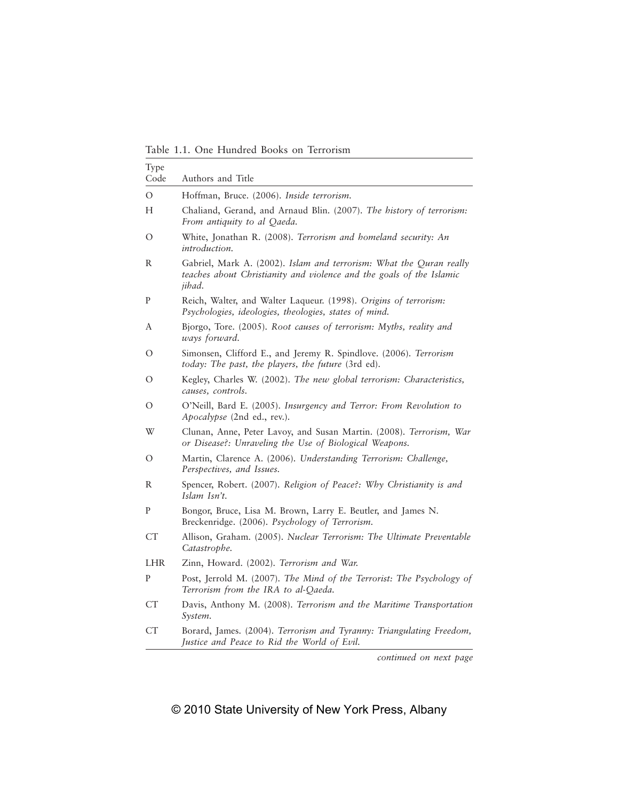Table 1.1. One Hundred Books on Terrorism

| Type<br>Code | Authors and Title                                                                                                                                     |
|--------------|-------------------------------------------------------------------------------------------------------------------------------------------------------|
| $\Omega$     | Hoffman, Bruce. (2006). Inside terrorism.                                                                                                             |
| H            | Chaliand, Gerand, and Arnaud Blin. (2007). The history of terrorism:<br>From antiquity to al Qaeda.                                                   |
| $\rm{O}$     | White, Jonathan R. (2008). Terrorism and homeland security: An<br><i>introduction.</i>                                                                |
| R            | Gabriel, Mark A. (2002). Islam and terrorism: What the Quran really<br>teaches about Christianity and violence and the goals of the Islamic<br>jihad. |
| P            | Reich, Walter, and Walter Laqueur. (1998). Origins of terrorism:<br>Psychologies, ideologies, theologies, states of mind.                             |
| А            | Bjorgo, Tore. (2005). Root causes of terrorism: Myths, reality and<br>ways forward.                                                                   |
| $\rm{O}$     | Simonsen, Clifford E., and Jeremy R. Spindlove. (2006). Terrorism<br>today: The past, the players, the future (3rd ed).                               |
| O            | Kegley, Charles W. (2002). The new global terrorism: Characteristics,<br>causes, controls.                                                            |
| $\Omega$     | O'Neill, Bard E. (2005). Insurgency and Terror: From Revolution to<br>Apocalypse (2nd ed., rev.).                                                     |
| W            | Clunan, Anne, Peter Lavoy, and Susan Martin. (2008). Terrorism, War<br>or Disease?: Unraveling the Use of Biological Weapons.                         |
| O            | Martin, Clarence A. (2006). Understanding Terrorism: Challenge,<br>Perspectives, and Issues.                                                          |
| R            | Spencer, Robert. (2007). Religion of Peace?: Why Christianity is and<br>Islam Isn't.                                                                  |
| P            | Bongor, Bruce, Lisa M. Brown, Larry E. Beutler, and James N.<br>Breckenridge. (2006). Psychology of Terrorism.                                        |
| СT           | Allison, Graham. (2005). Nuclear Terrorism: The Ultimate Preventable<br>Catastrophe.                                                                  |
| LHR          | Zinn, Howard. (2002). Terrorism and War.                                                                                                              |
| P            | Post, Jerrold M. (2007). The Mind of the Terrorist: The Psychology of<br>Terrorism from the IRA to al-Qaeda.                                          |
| <b>CT</b>    | Davis, Anthony M. (2008). Terrorism and the Maritime Transportation<br>System.                                                                        |
| СT           | Borard, James. (2004). Terrorism and Tyranny: Triangulating Freedom,<br>Justice and Peace to Rid the World of Evil.                                   |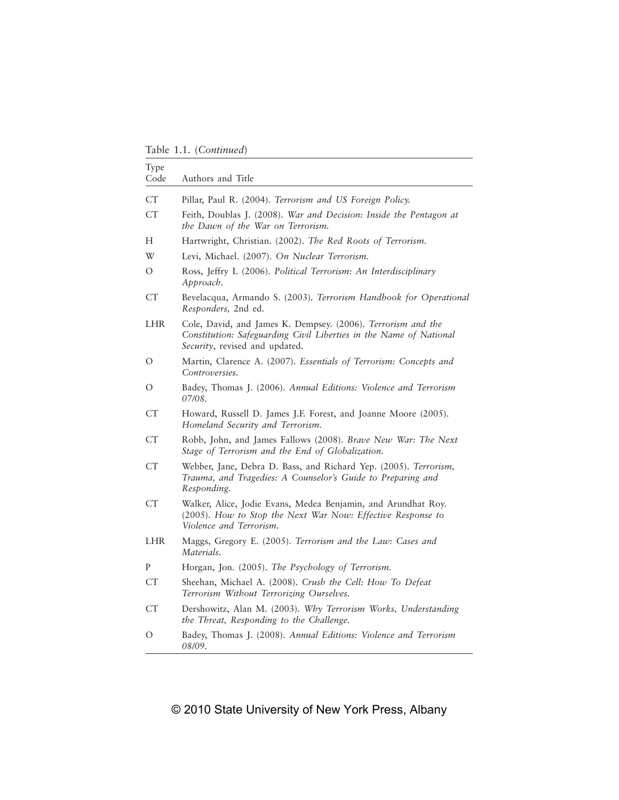Table 1.1. (*Continued*)

| Type<br>Code | Authors and Title                                                                                                                                                    |
|--------------|----------------------------------------------------------------------------------------------------------------------------------------------------------------------|
| <b>CT</b>    | Pillar, Paul R. (2004). Terrorism and US Foreign Policy.                                                                                                             |
| <b>CT</b>    | Feith, Doublas J. (2008). War and Decision: Inside the Pentagon at<br>the Dawn of the War on Terrorism.                                                              |
| Н            | Hartwright, Christian. (2002). The Red Roots of Terrorism.                                                                                                           |
| W            | Levi, Michael. (2007). On Nuclear Terrorism.                                                                                                                         |
| $\circ$      | Ross, Jeffry I. (2006). Political Terrorism: An Interdisciplinary<br>Approach.                                                                                       |
| <b>CT</b>    | Bevelacqua, Armando S. (2003). Terrorism Handbook for Operational<br>Responders, 2nd ed.                                                                             |
| <b>LHR</b>   | Cole, David, and James K. Dempsey. (2006). Terrorism and the<br>Constitution: Safeguarding Civil Liberties in the Name of National<br>Security, revised and updated. |
| $\rm{O}$     | Martin, Clarence A. (2007). Essentials of Terrorism: Concepts and<br>Controversies.                                                                                  |
| O            | Badey, Thomas J. (2006). Annual Editions: Violence and Terrorism<br>07/08.                                                                                           |
| <b>CT</b>    | Howard, Russell D. James J.F. Forest, and Joanne Moore (2005).<br>Homeland Security and Terrorism.                                                                   |
| <b>CT</b>    | Robb, John, and James Fallows (2008). Brave New War: The Next<br>Stage of Terrorism and the End of Globalization.                                                    |
| <b>CT</b>    | Webber, Jane, Debra D. Bass, and Richard Yep. (2005). Terrorism,<br>Trauma, and Tragedies: A Counselor's Guide to Preparing and<br>Responding.                       |
| СT           | Walker, Alice, Jodie Evans, Medea Benjamin, and Arundhat Roy.<br>(2005). How to Stop the Next War Now: Effective Response to<br>Violence and Terrorism.              |
| <b>LHR</b>   | Maggs, Gregory E. (2005). Terrorism and the Law: Cases and<br>Materials.                                                                                             |
| P            | Horgan, Jon. (2005). The Psychology of Terrorism.                                                                                                                    |
| <b>CT</b>    | Sheehan, Michael A. (2008). Crush the Cell: How To Defeat<br>Terrorism Without Terrorizing Ourselves.                                                                |
| СT           | Dershowitz, Alan M. (2003). Why Terrorism Works, Understanding<br>the Threat, Responding to the Challenge.                                                           |
| O            | Badey, Thomas J. (2008). Annual Editions: Violence and Terrorism<br>08/09.                                                                                           |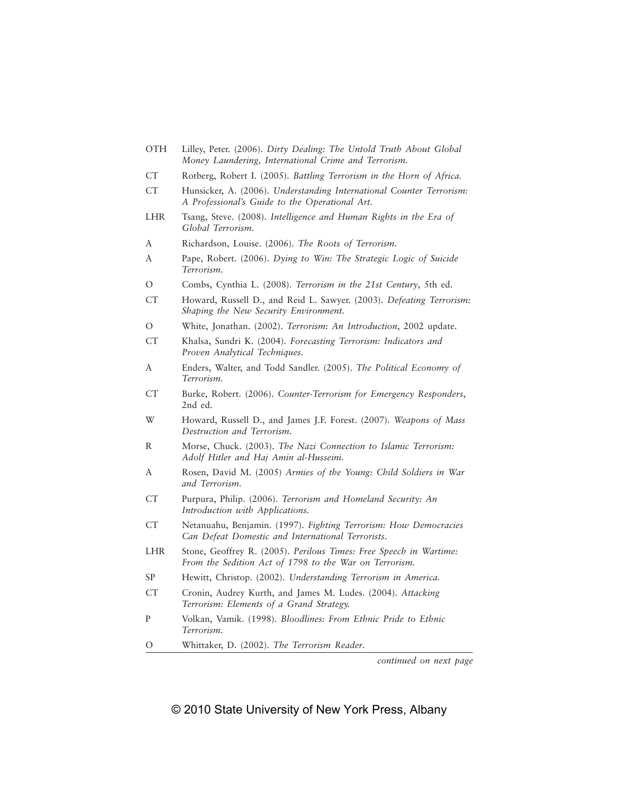- OTH Lilley, Peter. (2006). *Dirty Dealing: The Untold Truth About Global Money Laundering, International Crime and Terrorism.*
- CT Rotberg, Robert I. (2005). *Battling Terrorism in the Horn of Africa.*
- CT Hunsicker, A. (2006). *Understanding International Counter Terrorism: A Professional's Guide to the Operational Art.*
- LHR Tsang, Steve. (2008). *Intelligence and Human Rights in the Era of Global Terrorism.*
- A Richardson, Louise. (2006). *The Roots of Terrorism.*
- A Pape, Robert. (2006). *Dying to Win: The Strategic Logic of Suicide Terrorism.*
- O Combs, Cynthia L. (2008). *Terrorism in the 21st Century*, 5th ed.
- CT Howard, Russell D., and Reid L. Sawyer. (2003). *Defeating Terrorism: Shaping the New Security Environment.*
- O White, Jonathan. (2002). *Terrorism: An Introduction*, 2002 update.
- CT Khalsa, Sundri K. (2004). *Forecasting Terrorism: Indicators and Proven Analytical Techniques.*
- A Enders, Walter, and Todd Sandler. (2005). *The Political Economy of Terrorism.*
- CT Burke, Robert. (2006). *Counter-Terrorism for Emergency Responders*, 2nd ed.
- W Howard, Russell D., and James J.F. Forest. (2007). *Weapons of Mass Destruction and Terrorism.*
- R Morse, Chuck. (2003). *The Nazi Connection to Islamic Terrorism: Adolf Hitler and Haj Amin al-Husseini.*
- A Rosen, David M. (2005) *Armies of the Young: Child Soldiers in War and Terrorism.*
- CT Purpura, Philip. (2006). *Terrorism and Homeland Security: An Introduction with Applications.*
- CT Netanuahu, Benjamin. (1997). *Fighting Terrorism: How Democracies Can Defeat Domestic and International Terrorists.*
- LHR Stone, Geoffrey R. (2005). *Perilous Times: Free Speech in Wartime: From the Sedition Act of 1798 to the War on Terrorism.*
- SP Hewitt, Christop. (2002). *Understanding Terrorism in America.*
- CT Cronin, Audrey Kurth, and James M. Ludes. (2004). *Attacking Terrorism: Elements of a Grand Strategy.*
- P Volkan, Vamik. (1998). *Bloodlines: From Ethnic Pride to Ethnic Terrorism.*
- O Whittaker, D. (2002). *The Terrorism Reader*.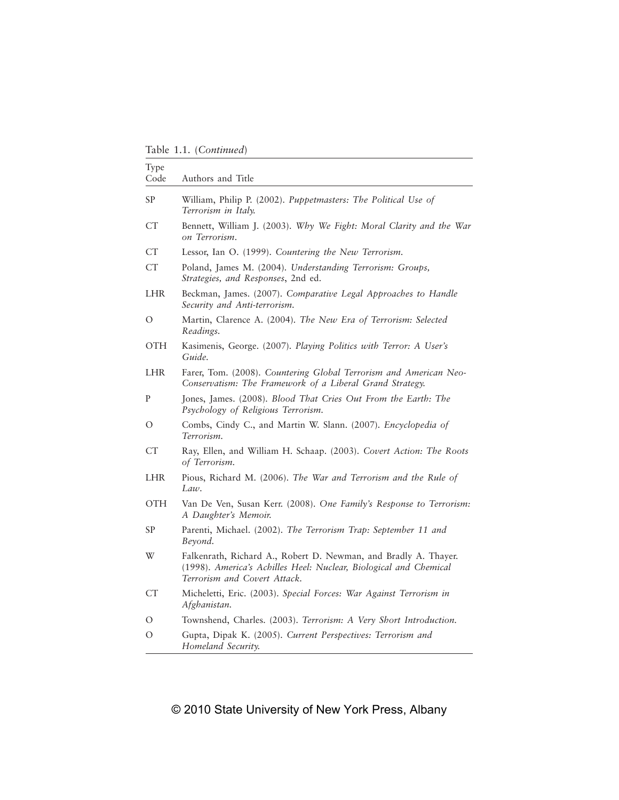Table 1.1. (*Continued*)

| Type<br>Code | Authors and Title                                                                                                                                                    |  |
|--------------|----------------------------------------------------------------------------------------------------------------------------------------------------------------------|--|
| SP           | William, Philip P. (2002). Puppetmasters: The Political Use of<br>Terrorism in Italy.                                                                                |  |
| СT           | Bennett, William J. (2003). Why We Fight: Moral Clarity and the War<br>on Terrorism.                                                                                 |  |
| СT           | Lessor, Ian O. (1999). Countering the New Terrorism.                                                                                                                 |  |
| СT           | Poland, James M. (2004). Understanding Terrorism: Groups,<br>Strategies, and Responses, 2nd ed.                                                                      |  |
| <b>LHR</b>   | Beckman, James. (2007). Comparative Legal Approaches to Handle<br>Security and Anti-terrorism.                                                                       |  |
| О            | Martin, Clarence A. (2004). The New Era of Terrorism: Selected<br>Readings.                                                                                          |  |
| <b>OTH</b>   | Kasimenis, George. (2007). Playing Politics with Terror: A User's<br>Guide.                                                                                          |  |
| <b>LHR</b>   | Farer, Tom. (2008). Countering Global Terrorism and American Neo-<br>Conservatism: The Framework of a Liberal Grand Strategy.                                        |  |
| P            | Jones, James. (2008). Blood That Cries Out From the Earth: The<br>Psychology of Religious Terrorism.                                                                 |  |
| О            | Combs, Cindy C., and Martin W. Slann. (2007). Encyclopedia of<br>Terrorism.                                                                                          |  |
| СT           | Ray, Ellen, and William H. Schaap. (2003). Covert Action: The Roots<br>of Terrorism.                                                                                 |  |
| <b>LHR</b>   | Pious, Richard M. (2006). The War and Terrorism and the Rule of<br>Law.                                                                                              |  |
| <b>OTH</b>   | Van De Ven, Susan Kerr. (2008). One Family's Response to Terrorism:<br>A Daughter's Memoir.                                                                          |  |
| SP           | Parenti, Michael. (2002). The Terrorism Trap: September 11 and<br>Beyond.                                                                                            |  |
| W            | Falkenrath, Richard A., Robert D. Newman, and Bradly A. Thayer.<br>(1998). America's Achilles Heel: Nuclear, Biological and Chemical<br>Terrorism and Covert Attack. |  |
| <b>CT</b>    | Micheletti, Eric. (2003). Special Forces: War Against Terrorism in<br>Afghanistan.                                                                                   |  |
| О            | Townshend, Charles. (2003). Terrorism: A Very Short Introduction.                                                                                                    |  |
| $\Omega$     | Gupta, Dipak K. (2005). Current Perspectives: Terrorism and<br>Homeland Security.                                                                                    |  |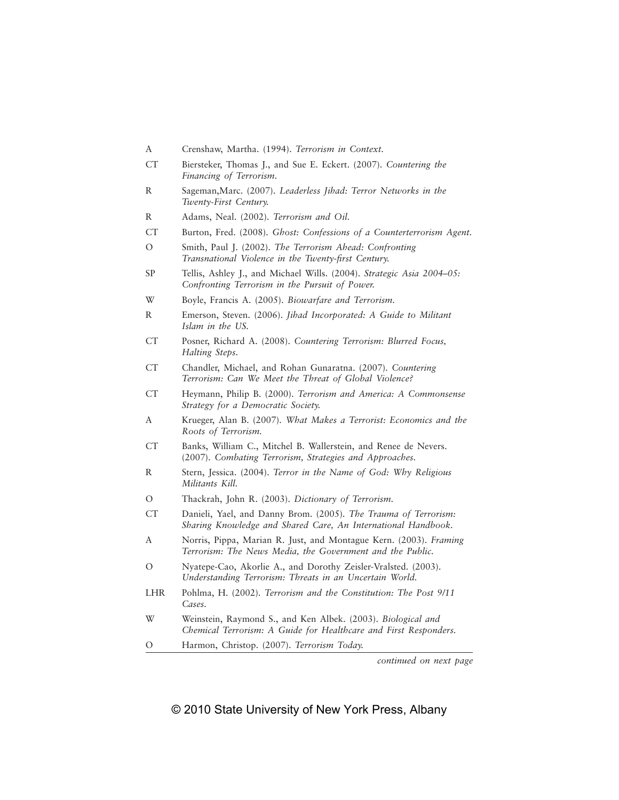- A Crenshaw, Martha. (1994). *Terrorism in Context.*
- CT Biersteker, Thomas J., and Sue E. Eckert. (2007). *Countering the Financing of Terrorism.*
- R Sageman,Marc. (2007). *Leaderless Jihad: Terror Networks in the Twenty-First Century.*
- R Adams, Neal. (2002). *Terrorism and Oil.*
- CT Burton, Fred. (2008). *Ghost: Confessions of a Counterterrorism Agent.*
- O Smith, Paul J. (2002). *The Terrorism Ahead: Confronting Transnational Violence in the Twenty-first Century.*
- SP Tellis, Ashley J., and Michael Wills. (2004). *Strategic Asia 2004–05: Confronting Terrorism in the Pursuit of Power.*
- W Boyle, Francis A. (2005). *Biowarfare and Terrorism.*
- R Emerson, Steven. (2006). *Jihad Incorporated: A Guide to Militant Islam in the US.*
- CT Posner, Richard A. (2008). *Countering Terrorism: Blurred Focus, Halting Steps.*
- CT Chandler, Michael, and Rohan Gunaratna. (2007). *Countering Terrorism: Can We Meet the Threat of Global Violence?*
- CT Heymann, Philip B. (2000). *Terrorism and America: A Commonsense Strategy for a Democratic Society.*
- A Krueger, Alan B. (2007). *What Makes a Terrorist: Economics and the Roots of Terrorism.*
- CT Banks, William C., Mitchel B. Wallerstein, and Renee de Nevers. (2007). *Combating Terrorism, Strategies and Approaches.*
- R Stern, Jessica. (2004). *Terror in the Name of God: Why Religious Militants Kill.*
- O Thackrah, John R. (2003). *Dictionary of Terrorism.*
- CT Danieli, Yael, and Danny Brom. (2005). *The Trauma of Terrorism: Sharing Knowledge and Shared Care, An International Handbook.*
- A Norris, Pippa, Marian R. Just, and Montague Kern. (2003). *Framing Terrorism: The News Media, the Government and the Public.*
- O Nyatepe-Cao, Akorlie A., and Dorothy Zeisler-Vralsted. (2003). *Understanding Terrorism: Threats in an Uncertain World.*
- LHR Pohlma, H. (2002). *Terrorism and the Constitution: The Post 9/11 Cases.*
- W Weinstein, Raymond S., and Ken Albek. (2003). *Biological and Chemical Terrorism: A Guide for Healthcare and First Responders.*
- O Harmon, Christop. (2007). *Terrorism Today.*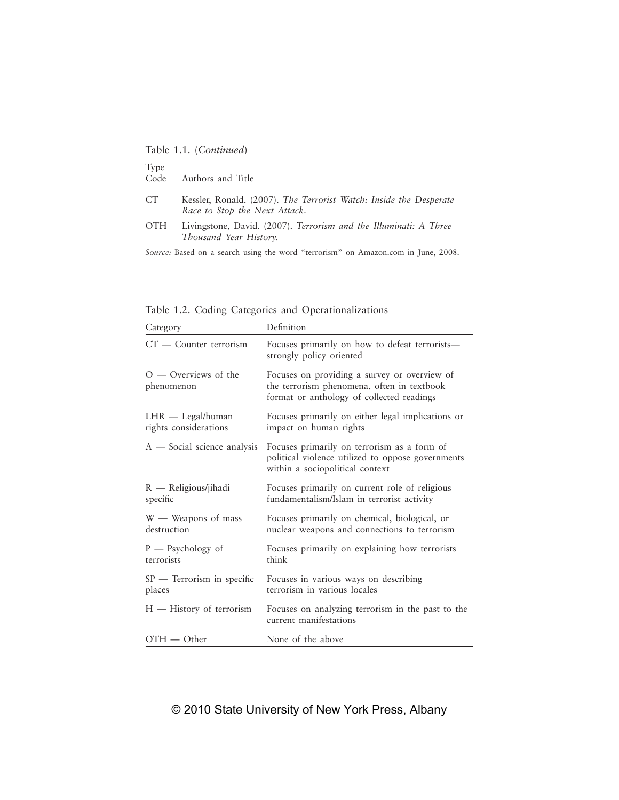Table 1.1. (*Continued*)

| Type<br>Code | Authors and Title                                                                                   |
|--------------|-----------------------------------------------------------------------------------------------------|
| <b>CT</b>    | Kessler, Ronald. (2007). The Terrorist Watch: Inside the Desperate<br>Race to Stop the Next Attack. |
| <b>OTH</b>   | Livingstone, David. (2007). Terrorism and the Illuminati: A Three<br>Thousand Year History.         |

*Source:* Based on a search using the word "terrorism" on Amazon.com in June, 2008.

Table 1.2. Coding Categories and Operationalizations

| Category                                     | Definition                                                                                                                              |
|----------------------------------------------|-----------------------------------------------------------------------------------------------------------------------------------------|
| $CT$ — Counter terrorism                     | Focuses primarily on how to defeat terrorists—<br>strongly policy oriented                                                              |
| O - Overviews of the<br>phenomenon           | Focuses on providing a survey or overview of<br>the terrorism phenomena, often in textbook<br>format or anthology of collected readings |
| $LHR$ — Legal/human<br>rights considerations | Focuses primarily on either legal implications or<br>impact on human rights                                                             |
| $A$ — Social science analysis                | Focuses primarily on terrorism as a form of<br>political violence utilized to oppose governments<br>within a sociopolitical context     |
| R — Religious/jihadi<br>specific             | Focuses primarily on current role of religious<br>fundamentalism/Islam in terrorist activity                                            |
| W - Weapons of mass<br>destruction           | Focuses primarily on chemical, biological, or<br>nuclear weapons and connections to terrorism                                           |
| $P$ — Psychology of<br>terrorists            | Focuses primarily on explaining how terrorists<br>think                                                                                 |
| $SP - Terrorism$ in specific<br>places       | Focuses in various ways on describing<br>terrorism in various locales                                                                   |
| $H - H$ istory of terrorism                  | Focuses on analyzing terrorism in the past to the<br>current manifestations                                                             |
| $OTH - O$ ther                               | None of the above                                                                                                                       |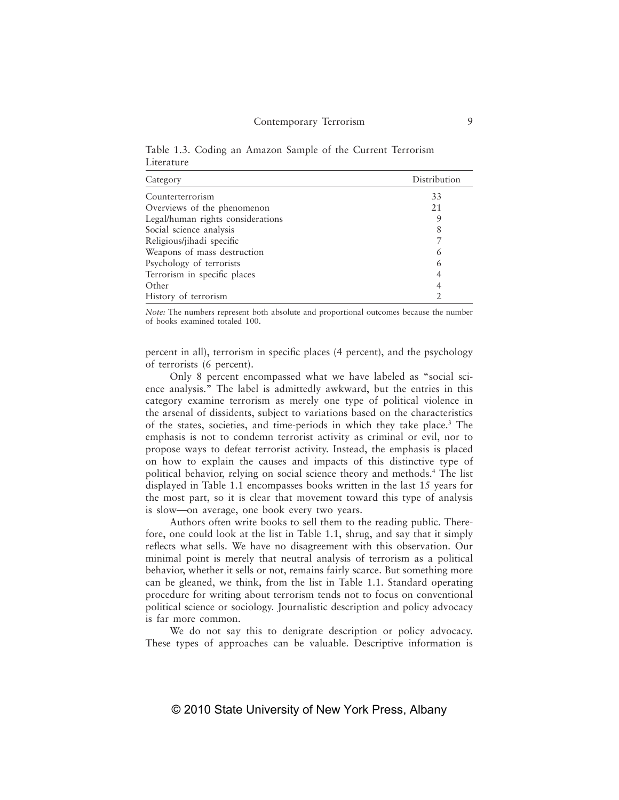| Category                          | Distribution |
|-----------------------------------|--------------|
| Counterterrorism                  | 33           |
| Overviews of the phenomenon       | 21           |
| Legal/human rights considerations |              |
| Social science analysis           | 8            |
| Religious/jihadi specific         |              |
| Weapons of mass destruction       | 6            |
| Psychology of terrorists          | 6            |
| Terrorism in specific places      | 4            |
| Other                             | 4            |
| History of terrorism              |              |

Table 1.3. Coding an Amazon Sample of the Current Terrorism Literature

*Note:* The numbers represent both absolute and proportional outcomes because the number of books examined totaled 100.

percent in all), terrorism in specifi c places (4 percent), and the psychology of terrorists (6 percent).

Only 8 percent encompassed what we have labeled as "social science analysis." The label is admittedly awkward, but the entries in this category examine terrorism as merely one type of political violence in the arsenal of dissidents, subject to variations based on the characteristics of the states, societies, and time-periods in which they take place.<sup>3</sup> The emphasis is not to condemn terrorist activity as criminal or evil, nor to propose ways to defeat terrorist activity. Instead, the emphasis is placed on how to explain the causes and impacts of this distinctive type of political behavior, relying on social science theory and methods.4 The list displayed in Table 1.1 encompasses books written in the last 15 years for the most part, so it is clear that movement toward this type of analysis is slow—on average, one book every two years.

Authors often write books to sell them to the reading public. Therefore, one could look at the list in Table 1.1, shrug, and say that it simply reflects what sells. We have no disagreement with this observation. Our minimal point is merely that neutral analysis of terrorism as a political behavior, whether it sells or not, remains fairly scarce. But something more can be gleaned, we think, from the list in Table 1.1. Standard operating procedure for writing about terrorism tends not to focus on conventional political science or sociology. Journalistic description and policy advocacy is far more common.

We do not say this to denigrate description or policy advocacy. These types of approaches can be valuable. Descriptive information is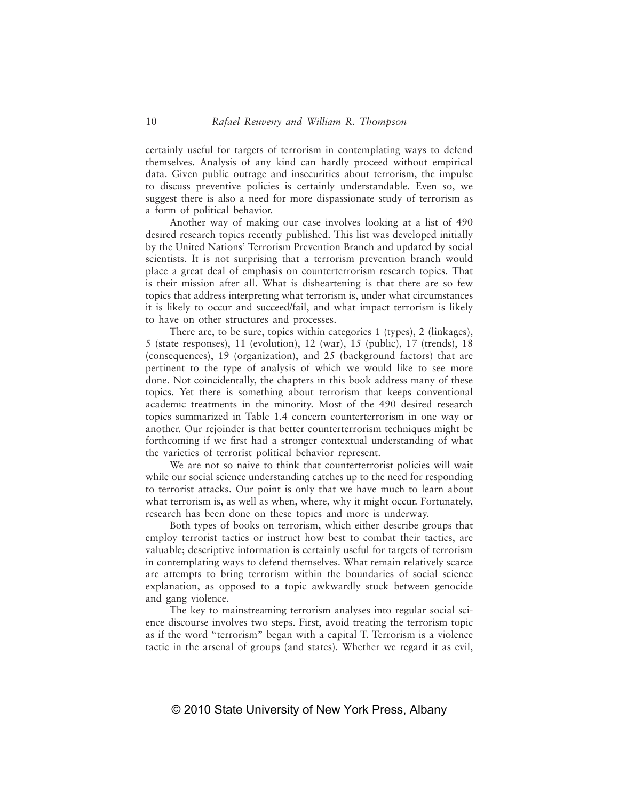certainly useful for targets of terrorism in contemplating ways to defend themselves. Analysis of any kind can hardly proceed without empirical data. Given public outrage and insecurities about terrorism, the impulse to discuss preventive policies is certainly understandable. Even so, we suggest there is also a need for more dispassionate study of terrorism as a form of political behavior.

Another way of making our case involves looking at a list of 490 desired research topics recently published. This list was developed initially by the United Nations' Terrorism Prevention Branch and updated by social scientists. It is not surprising that a terrorism prevention branch would place a great deal of emphasis on counterterrorism research topics. That is their mission after all. What is disheartening is that there are so few topics that address interpreting what terrorism is, under what circumstances it is likely to occur and succeed/fail, and what impact terrorism is likely to have on other structures and processes.

There are, to be sure, topics within categories 1 (types), 2 (linkages), 5 (state responses), 11 (evolution), 12 (war), 15 (public), 17 (trends), 18 (consequences), 19 (organization), and 25 (background factors) that are pertinent to the type of analysis of which we would like to see more done. Not coincidentally, the chapters in this book address many of these topics. Yet there is something about terrorism that keeps conventional academic treatments in the minority. Most of the 490 desired research topics summarized in Table 1.4 concern counterterrorism in one way or another. Our rejoinder is that better counterterrorism techniques might be forthcoming if we first had a stronger contextual understanding of what the varieties of terrorist political behavior represent.

We are not so naive to think that counterterrorist policies will wait while our social science understanding catches up to the need for responding to terrorist attacks. Our point is only that we have much to learn about what terrorism is, as well as when, where, why it might occur. Fortunately, research has been done on these topics and more is underway.

Both types of books on terrorism, which either describe groups that employ terrorist tactics or instruct how best to combat their tactics, are valuable; descriptive information is certainly useful for targets of terrorism in contemplating ways to defend themselves. What remain relatively scarce are attempts to bring terrorism within the boundaries of social science explanation, as opposed to a topic awkwardly stuck between genocide and gang violence.

The key to mainstreaming terrorism analyses into regular social science discourse involves two steps. First, avoid treating the terrorism topic as if the word "terrorism" began with a capital T. Terrorism is a violence tactic in the arsenal of groups (and states). Whether we regard it as evil,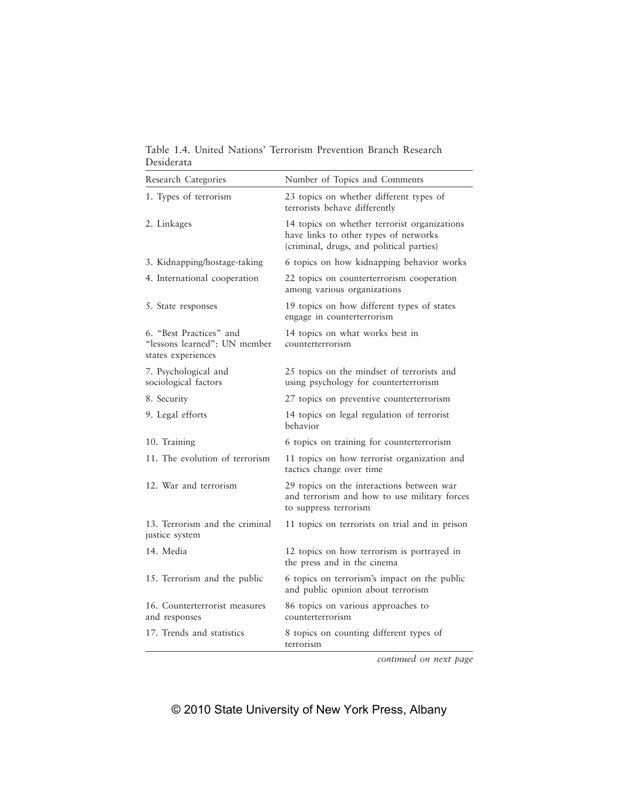Table 1.4. United Nations' Terrorism Prevention Branch Research Desiderata

| Research Categories                                                           | Number of Topics and Comments                                                                                                     |
|-------------------------------------------------------------------------------|-----------------------------------------------------------------------------------------------------------------------------------|
| 1. Types of terrorism                                                         | 23 topics on whether different types of<br>terrorists behave differently                                                          |
| 2. Linkages                                                                   | 14 topics on whether terrorist organizations<br>have links to other types of networks<br>(criminal, drugs, and political parties) |
| 3. Kidnapping/hostage-taking                                                  | 6 topics on how kidnapping behavior works                                                                                         |
| 4. International cooperation                                                  | 22 topics on counterterrorism cooperation<br>among various organizations                                                          |
| 5. State responses                                                            | 19 topics on how different types of states<br>engage in counterterrorism                                                          |
| 6. "Best Practices" and<br>"lessons learned": UN member<br>states experiences | 14 topics on what works best in<br>counterterrorism                                                                               |
| 7. Psychological and<br>sociological factors                                  | 25 topics on the mindset of terrorists and<br>using psychology for counterterrorism                                               |
| 8. Security                                                                   | 27 topics on preventive counterterrorism                                                                                          |
| 9. Legal efforts                                                              | 14 topics on legal regulation of terrorist<br>behavior                                                                            |
| 10. Training                                                                  | 6 topics on training for counterterrorism                                                                                         |
| 11. The evolution of terrorism                                                | 11 topics on how terrorist organization and<br>tactics change over time                                                           |
| 12. War and terrorism                                                         | 29 topics on the interactions between war<br>and terrorism and how to use military forces<br>to suppress terrorism                |
| 13. Terrorism and the criminal<br>justice system                              | 11 topics on terrorists on trial and in prison                                                                                    |
| 14. Media                                                                     | 12 topics on how terrorism is portrayed in<br>the press and in the cinema                                                         |
| 15. Terrorism and the public                                                  | 6 topics on terrorism's impact on the public<br>and public opinion about terrorism                                                |
| 16. Counterterrorist measures<br>and responses                                | 86 topics on various approaches to<br>counterterrorism                                                                            |
| 17. Trends and statistics                                                     | 8 topics on counting different types of<br>terrorism                                                                              |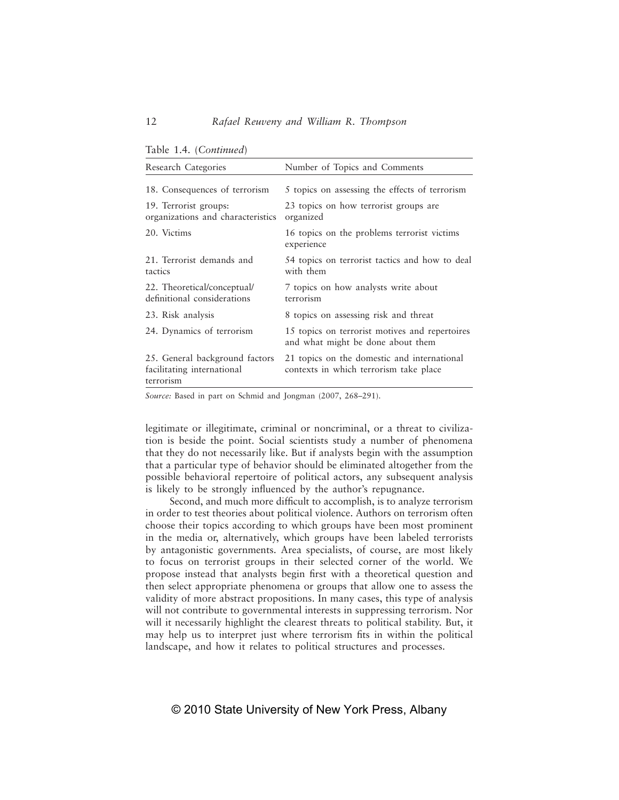| Research Categories                                                       | Number of Topics and Comments                                                         |  |
|---------------------------------------------------------------------------|---------------------------------------------------------------------------------------|--|
| 18. Consequences of terrorism                                             | 5 topics on assessing the effects of terrorism                                        |  |
| 19. Terrorist groups:<br>organizations and characteristics                | 23 topics on how terrorist groups are<br>organized                                    |  |
| 20. Victims                                                               | 16 topics on the problems terrorist victims<br>experience                             |  |
| 21. Terrorist demands and<br>tactics                                      | 54 topics on terrorist tactics and how to deal<br>with them                           |  |
| 22. Theoretical/conceptual/<br>definitional considerations                | 7 topics on how analysts write about<br>terrorism                                     |  |
| 23. Risk analysis                                                         | 8 topics on assessing risk and threat                                                 |  |
| 24. Dynamics of terrorism                                                 | 15 topics on terrorist motives and repertoires<br>and what might be done about them   |  |
| 25. General background factors<br>facilitating international<br>terrorism | 21 topics on the domestic and international<br>contexts in which terrorism take place |  |

*Source:* Based in part on Schmid and Jongman (2007, 268–291).

legitimate or illegitimate, criminal or noncriminal, or a threat to civilization is beside the point. Social scientists study a number of phenomena that they do not necessarily like. But if analysts begin with the assumption that a particular type of behavior should be eliminated altogether from the possible behavioral repertoire of political actors, any subsequent analysis is likely to be strongly influenced by the author's repugnance.

Second, and much more difficult to accomplish, is to analyze terrorism in order to test theories about political violence. Authors on terrorism often choose their topics according to which groups have been most prominent in the media or, alternatively, which groups have been labeled terrorists by antagonistic governments. Area specialists, of course, are most likely to focus on terrorist groups in their selected corner of the world. We propose instead that analysts begin first with a theoretical question and then select appropriate phenomena or groups that allow one to assess the validity of more abstract propositions. In many cases, this type of analysis will not contribute to governmental interests in suppressing terrorism. Nor will it necessarily highlight the clearest threats to political stability. But, it may help us to interpret just where terrorism fits in within the political landscape, and how it relates to political structures and processes.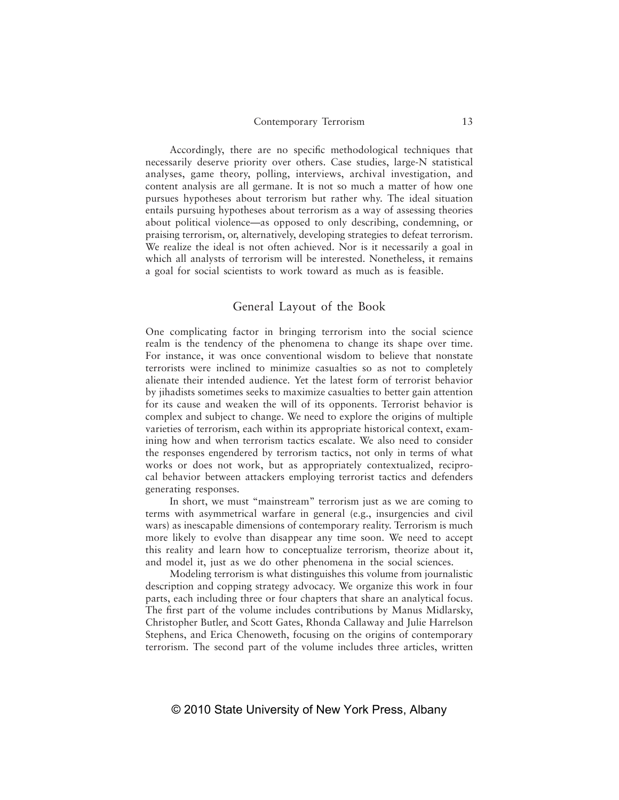#### Contemporary Terrorism 13

Accordingly, there are no specific methodological techniques that necessarily deserve priority over others. Case studies, large-N statistical analyses, game theory, polling, interviews, archival investigation, and content analysis are all germane. It is not so much a matter of how one pursues hypotheses about terrorism but rather why. The ideal situation entails pursuing hypotheses about terrorism as a way of assessing theories about political violence—as opposed to only describing, condemning, or praising terrorism, or, alternatively, developing strategies to defeat terrorism. We realize the ideal is not often achieved. Nor is it necessarily a goal in which all analysts of terrorism will be interested. Nonetheless, it remains a goal for social scientists to work toward as much as is feasible.

#### General Layout of the Book

One complicating factor in bringing terrorism into the social science realm is the tendency of the phenomena to change its shape over time. For instance, it was once conventional wisdom to believe that nonstate terrorists were inclined to minimize casualties so as not to completely alienate their intended audience. Yet the latest form of terrorist behavior by jihadists sometimes seeks to maximize casualties to better gain attention for its cause and weaken the will of its opponents. Terrorist behavior is complex and subject to change. We need to explore the origins of multiple varieties of terrorism, each within its appropriate historical context, examining how and when terrorism tactics escalate. We also need to consider the responses engendered by terrorism tactics, not only in terms of what works or does not work, but as appropriately contextualized, reciprocal behavior between attackers employing terrorist tactics and defenders generating responses.

In short, we must "mainstream" terrorism just as we are coming to terms with asymmetrical warfare in general (e.g., insurgencies and civil wars) as inescapable dimensions of contemporary reality. Terrorism is much more likely to evolve than disappear any time soon. We need to accept this reality and learn how to conceptualize terrorism, theorize about it, and model it, just as we do other phenomena in the social sciences.

Modeling terrorism is what distinguishes this volume from journalistic description and copping strategy advocacy. We organize this work in four parts, each including three or four chapters that share an analytical focus. The first part of the volume includes contributions by Manus Midlarsky, Christopher Butler, and Scott Gates, Rhonda Callaway and Julie Harrelson Stephens, and Erica Chenoweth, focusing on the origins of contemporary terrorism. The second part of the volume includes three articles, written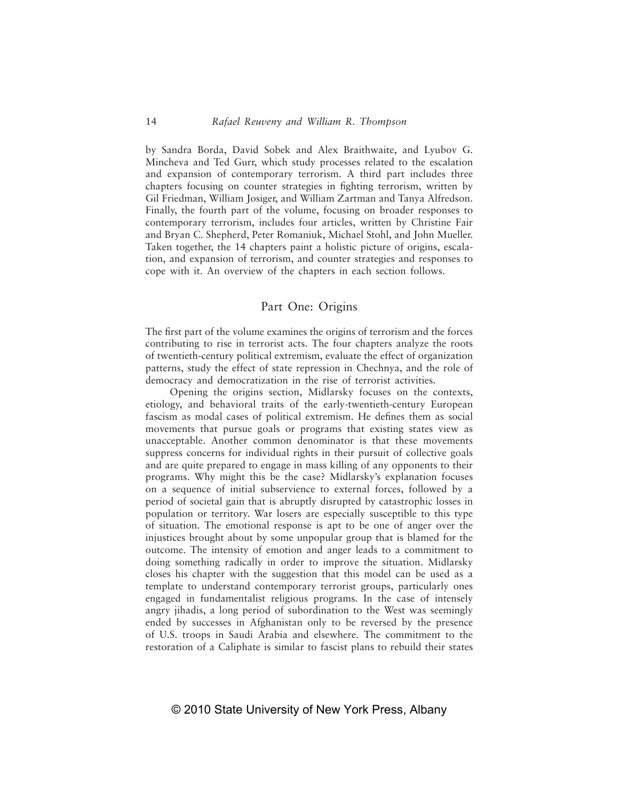by Sandra Borda, David Sobek and Alex Braithwaite, and Lyubov G. Mincheva and Ted Gurr, which study processes related to the escalation and expansion of contemporary terrorism. A third part includes three chapters focusing on counter strategies in fighting terrorism, written by Gil Friedman, William Josiger, and William Zartman and Tanya Alfredson. Finally, the fourth part of the volume, focusing on broader responses to contemporary terrorism, includes four articles, written by Christine Fair and Bryan C. Shepherd, Peter Romaniuk, Michael Stohl, and John Mueller. Taken together, the 14 chapters paint a holistic picture of origins, escalation, and expansion of terrorism, and counter strategies and responses to cope with it. An overview of the chapters in each section follows.

#### Part One: Origins

The first part of the volume examines the origins of terrorism and the forces contributing to rise in terrorist acts. The four chapters analyze the roots of twentieth-century political extremism, evaluate the effect of organization patterns, study the effect of state repression in Chechnya, and the role of democracy and democratization in the rise of terrorist activities.

Opening the origins section, Midlarsky focuses on the contexts, etiology, and behavioral traits of the early-twentieth-century European fascism as modal cases of political extremism. He defines them as social movements that pursue goals or programs that existing states view as unacceptable. Another common denominator is that these movements suppress concerns for individual rights in their pursuit of collective goals and are quite prepared to engage in mass killing of any opponents to their programs. Why might this be the case? Midlarsky's explanation focuses on a sequence of initial subservience to external forces, followed by a period of societal gain that is abruptly disrupted by catastrophic losses in population or territory. War losers are especially susceptible to this type of situation. The emotional response is apt to be one of anger over the injustices brought about by some unpopular group that is blamed for the outcome. The intensity of emotion and anger leads to a commitment to doing something radically in order to improve the situation. Midlarsky closes his chapter with the suggestion that this model can be used as a template to understand contemporary terrorist groups, particularly ones engaged in fundamentalist religious programs. In the case of intensely angry jihadis, a long period of subordination to the West was seemingly ended by successes in Afghanistan only to be reversed by the presence of U.S. troops in Saudi Arabia and elsewhere. The commitment to the restoration of a Caliphate is similar to fascist plans to rebuild their states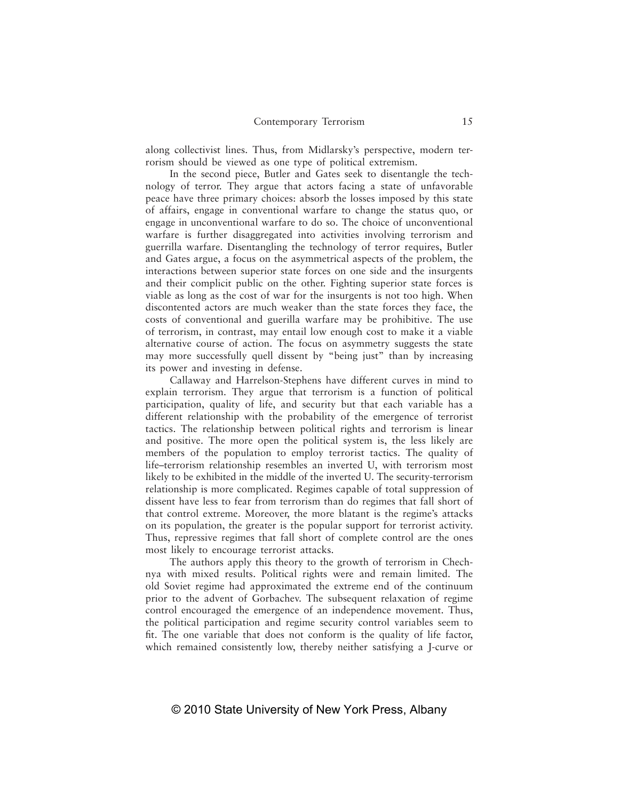along collectivist lines. Thus, from Midlarsky's perspective, modern terrorism should be viewed as one type of political extremism.

In the second piece, Butler and Gates seek to disentangle the technology of terror. They argue that actors facing a state of unfavorable peace have three primary choices: absorb the losses imposed by this state of affairs, engage in conventional warfare to change the status quo, or engage in unconventional warfare to do so. The choice of unconventional warfare is further disaggregated into activities involving terrorism and guerrilla warfare. Disentangling the technology of terror requires, Butler and Gates argue, a focus on the asymmetrical aspects of the problem, the interactions between superior state forces on one side and the insurgents and their complicit public on the other. Fighting superior state forces is viable as long as the cost of war for the insurgents is not too high. When discontented actors are much weaker than the state forces they face, the costs of conventional and guerilla warfare may be prohibitive. The use of terrorism, in contrast, may entail low enough cost to make it a viable alternative course of action. The focus on asymmetry suggests the state may more successfully quell dissent by "being just" than by increasing its power and investing in defense.

Callaway and Harrelson-Stephens have different curves in mind to explain terrorism. They argue that terrorism is a function of political participation, quality of life, and security but that each variable has a different relationship with the probability of the emergence of terrorist tactics. The relationship between political rights and terrorism is linear and positive. The more open the political system is, the less likely are members of the population to employ terrorist tactics. The quality of life–terrorism relationship resembles an inverted U, with terrorism most likely to be exhibited in the middle of the inverted U. The security-terrorism relationship is more complicated. Regimes capable of total suppression of dissent have less to fear from terrorism than do regimes that fall short of that control extreme. Moreover, the more blatant is the regime's attacks on its population, the greater is the popular support for terrorist activity. Thus, repressive regimes that fall short of complete control are the ones most likely to encourage terrorist attacks.

The authors apply this theory to the growth of terrorism in Chechnya with mixed results. Political rights were and remain limited. The old Soviet regime had approximated the extreme end of the continuum prior to the advent of Gorbachev. The subsequent relaxation of regime control encouraged the emergence of an independence movement. Thus, the political participation and regime security control variables seem to fit. The one variable that does not conform is the quality of life factor, which remained consistently low, thereby neither satisfying a J-curve or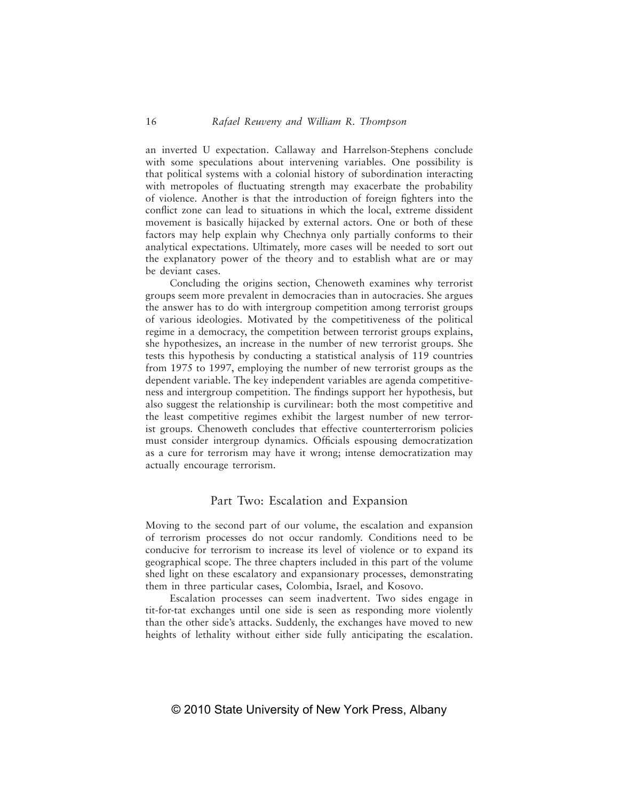an inverted U expectation. Callaway and Harrelson-Stephens conclude with some speculations about intervening variables. One possibility is that political systems with a colonial history of subordination interacting with metropoles of fluctuating strength may exacerbate the probability of violence. Another is that the introduction of foreign fighters into the conflict zone can lead to situations in which the local, extreme dissident movement is basically hijacked by external actors. One or both of these factors may help explain why Chechnya only partially conforms to their analytical expectations. Ultimately, more cases will be needed to sort out the explanatory power of the theory and to establish what are or may be deviant cases.

Concluding the origins section, Chenoweth examines why terrorist groups seem more prevalent in democracies than in autocracies. She argues the answer has to do with intergroup competition among terrorist groups of various ideologies. Motivated by the competitiveness of the political regime in a democracy, the competition between terrorist groups explains, she hypothesizes, an increase in the number of new terrorist groups. She tests this hypothesis by conducting a statistical analysis of 119 countries from 1975 to 1997, employing the number of new terrorist groups as the dependent variable. The key independent variables are agenda competitiveness and intergroup competition. The findings support her hypothesis, but also suggest the relationship is curvilinear: both the most competitive and the least competitive regimes exhibit the largest number of new terrorist groups. Chenoweth concludes that effective counterterrorism policies must consider intergroup dynamics. Officials espousing democratization as a cure for terrorism may have it wrong; intense democratization may actually encourage terrorism.

#### Part Two: Escalation and Expansion

Moving to the second part of our volume, the escalation and expansion of terrorism processes do not occur randomly. Conditions need to be conducive for terrorism to increase its level of violence or to expand its geographical scope. The three chapters included in this part of the volume shed light on these escalatory and expansionary processes, demonstrating them in three particular cases, Colombia, Israel, and Kosovo.

Escalation processes can seem inadvertent. Two sides engage in tit-for-tat exchanges until one side is seen as responding more violently than the other side's attacks. Suddenly, the exchanges have moved to new heights of lethality without either side fully anticipating the escalation.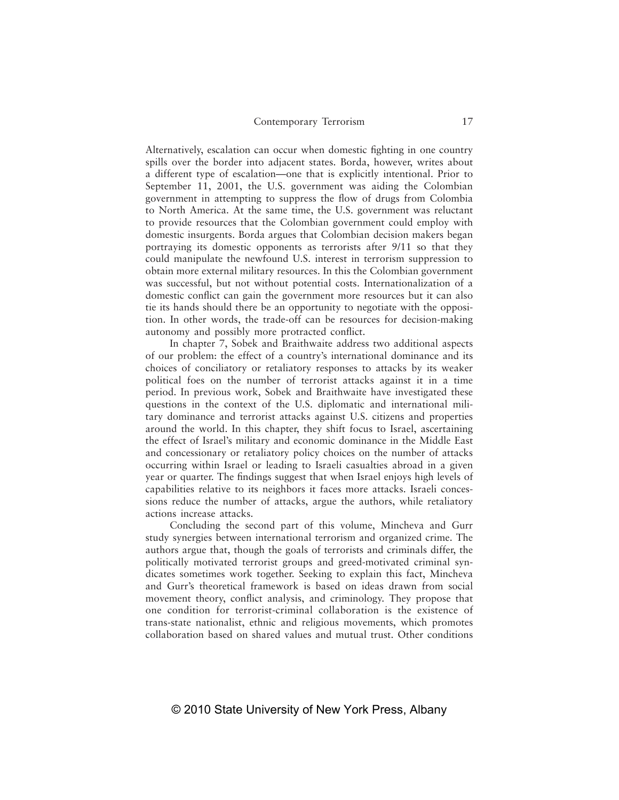Alternatively, escalation can occur when domestic fighting in one country spills over the border into adjacent states. Borda, however, writes about a different type of escalation—one that is explicitly intentional. Prior to September 11, 2001, the U.S. government was aiding the Colombian government in attempting to suppress the flow of drugs from Colombia to North America. At the same time, the U.S. government was reluctant to provide resources that the Colombian government could employ with domestic insurgents. Borda argues that Colombian decision makers began portraying its domestic opponents as terrorists after 9/11 so that they could manipulate the newfound U.S. interest in terrorism suppression to obtain more external military resources. In this the Colombian government was successful, but not without potential costs. Internationalization of a domestic conflict can gain the government more resources but it can also tie its hands should there be an opportunity to negotiate with the opposition. In other words, the trade-off can be resources for decision-making autonomy and possibly more protracted conflict.

In chapter 7, Sobek and Braithwaite address two additional aspects of our problem: the effect of a country's international dominance and its choices of conciliatory or retaliatory responses to attacks by its weaker political foes on the number of terrorist attacks against it in a time period. In previous work, Sobek and Braithwaite have investigated these questions in the context of the U.S. diplomatic and international military dominance and terrorist attacks against U.S. citizens and properties around the world. In this chapter, they shift focus to Israel, ascertaining the effect of Israel's military and economic dominance in the Middle East and concessionary or retaliatory policy choices on the number of attacks occurring within Israel or leading to Israeli casualties abroad in a given year or quarter. The findings suggest that when Israel enjoys high levels of capabilities relative to its neighbors it faces more attacks. Israeli concessions reduce the number of attacks, argue the authors, while retaliatory actions increase attacks.

Concluding the second part of this volume, Mincheva and Gurr study synergies between international terrorism and organized crime. The authors argue that, though the goals of terrorists and criminals differ, the politically motivated terrorist groups and greed-motivated criminal syndicates sometimes work together. Seeking to explain this fact, Mincheva and Gurr's theoretical framework is based on ideas drawn from social movement theory, conflict analysis, and criminology. They propose that one condition for terrorist-criminal collaboration is the existence of trans-state nationalist, ethnic and religious movements, which promotes collaboration based on shared values and mutual trust. Other conditions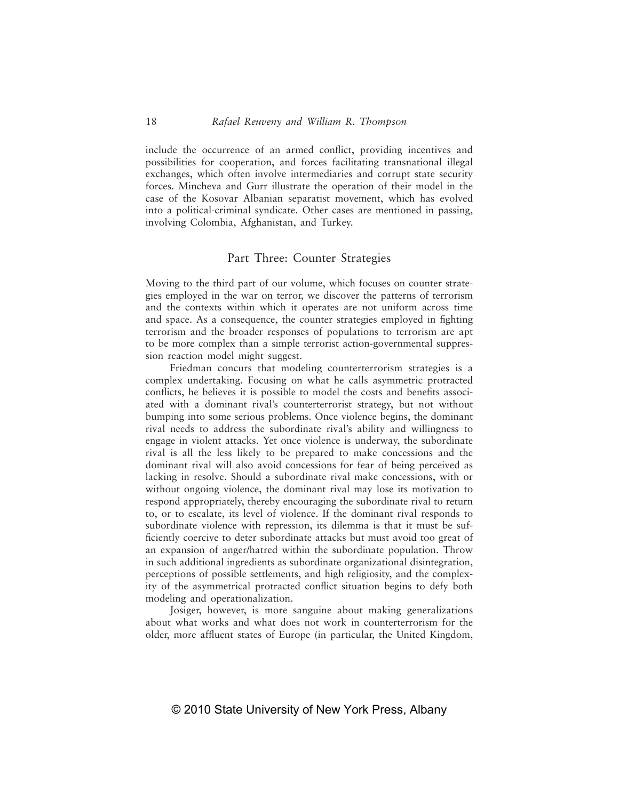include the occurrence of an armed conflict, providing incentives and possibilities for cooperation, and forces facilitating transnational illegal exchanges, which often involve intermediaries and corrupt state security forces. Mincheva and Gurr illustrate the operation of their model in the case of the Kosovar Albanian separatist movement, which has evolved into a political-criminal syndicate. Other cases are mentioned in passing, involving Colombia, Afghanistan, and Turkey.

#### Part Three: Counter Strategies

Moving to the third part of our volume, which focuses on counter strategies employed in the war on terror, we discover the patterns of terrorism and the contexts within which it operates are not uniform across time and space. As a consequence, the counter strategies employed in fighting terrorism and the broader responses of populations to terrorism are apt to be more complex than a simple terrorist action-governmental suppression reaction model might suggest.

Friedman concurs that modeling counterterrorism strategies is a complex undertaking. Focusing on what he calls asymmetric protracted conflicts, he believes it is possible to model the costs and benefits associated with a dominant rival's counterterrorist strategy, but not without bumping into some serious problems. Once violence begins, the dominant rival needs to address the subordinate rival's ability and willingness to engage in violent attacks. Yet once violence is underway, the subordinate rival is all the less likely to be prepared to make concessions and the dominant rival will also avoid concessions for fear of being perceived as lacking in resolve. Should a subordinate rival make concessions, with or without ongoing violence, the dominant rival may lose its motivation to respond appropriately, thereby encouraging the subordinate rival to return to, or to escalate, its level of violence. If the dominant rival responds to subordinate violence with repression, its dilemma is that it must be sufficiently coercive to deter subordinate attacks but must avoid too great of an expansion of anger/hatred within the subordinate population. Throw in such additional ingredients as subordinate organizational disintegration, perceptions of possible settlements, and high religiosity, and the complexity of the asymmetrical protracted conflict situation begins to defy both modeling and operationalization.

Josiger, however, is more sanguine about making generalizations about what works and what does not work in counterterrorism for the older, more affluent states of Europe (in particular, the United Kingdom,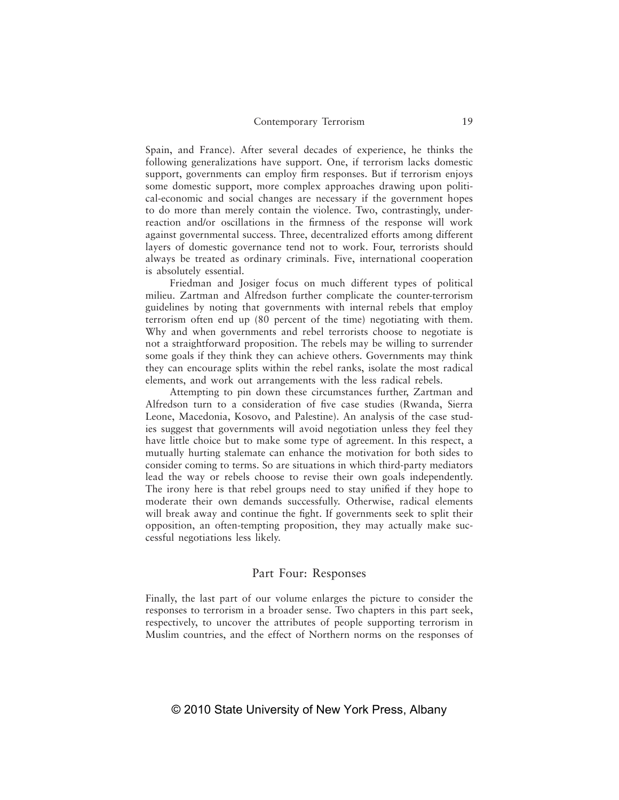Spain, and France). After several decades of experience, he thinks the following generalizations have support. One, if terrorism lacks domestic support, governments can employ firm responses. But if terrorism enjoys some domestic support, more complex approaches drawing upon political-economic and social changes are necessary if the government hopes to do more than merely contain the violence. Two, contrastingly, underreaction and/or oscillations in the firmness of the response will work against governmental success. Three, decentralized efforts among different layers of domestic governance tend not to work. Four, terrorists should always be treated as ordinary criminals. Five, international cooperation is absolutely essential.

Friedman and Josiger focus on much different types of political milieu. Zartman and Alfredson further complicate the counter-terrorism guidelines by noting that governments with internal rebels that employ terrorism often end up (80 percent of the time) negotiating with them. Why and when governments and rebel terrorists choose to negotiate is not a straightforward proposition. The rebels may be willing to surrender some goals if they think they can achieve others. Governments may think they can encourage splits within the rebel ranks, isolate the most radical elements, and work out arrangements with the less radical rebels.

Attempting to pin down these circumstances further, Zartman and Alfredson turn to a consideration of five case studies (Rwanda, Sierra Leone, Macedonia, Kosovo, and Palestine). An analysis of the case studies suggest that governments will avoid negotiation unless they feel they have little choice but to make some type of agreement. In this respect, a mutually hurting stalemate can enhance the motivation for both sides to consider coming to terms. So are situations in which third-party mediators lead the way or rebels choose to revise their own goals independently. The irony here is that rebel groups need to stay unified if they hope to moderate their own demands successfully. Otherwise, radical elements will break away and continue the fight. If governments seek to split their opposition, an often-tempting proposition, they may actually make successful negotiations less likely.

#### Part Four: Responses

Finally, the last part of our volume enlarges the picture to consider the responses to terrorism in a broader sense. Two chapters in this part seek, respectively, to uncover the attributes of people supporting terrorism in Muslim countries, and the effect of Northern norms on the responses of